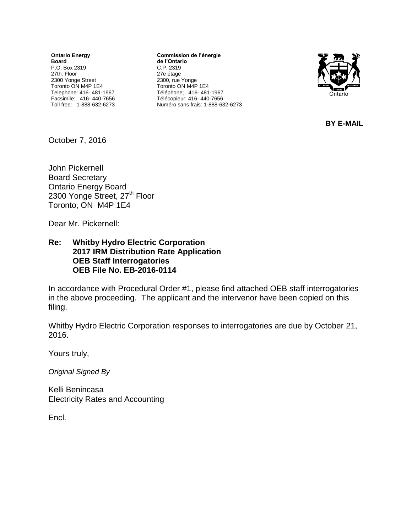**Ontario Energy Board** P.O. Box 2319 27th. Floor 2300 Yonge Street Toronto ON M4P 1E4 Telephone: 416- 481-1967 Facsimile: 416- 440-7656 Toll free: 1-888-632-6273

**Commission de l'énergie de l'Ontario** C.P. 2319 27e étage 2300, rue Yonge Toronto ON M4P 1E4 Téléphone; 416- 481-1967 Télécopieur: 416- 440-7656 Numéro sans frais: 1-888-632-6273



**BY E-MAIL**

October 7, 2016

John Pickernell Board Secretary Ontario Energy Board 2300 Yonge Street, 27<sup>th</sup> Floor Toronto, ON M4P 1E4

Dear Mr. Pickernell:

#### **Re: Whitby Hydro Electric Corporation 2017 IRM Distribution Rate Application OEB Staff Interrogatories OEB File No. EB-2016-0114**

In accordance with Procedural Order #1, please find attached OEB staff interrogatories in the above proceeding. The applicant and the intervenor have been copied on this filing.

Whitby Hydro Electric Corporation responses to interrogatories are due by October 21, 2016.

Yours truly,

*Original Signed By*

Kelli Benincasa Electricity Rates and Accounting

Encl.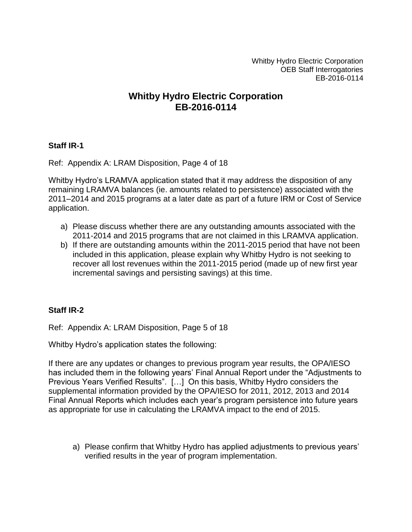Whitby Hydro Electric Corporation OEB Staff Interrogatories EB-2016-0114

# **Whitby Hydro Electric Corporation EB-2016-0114**

#### **Staff IR-1**

Ref: Appendix A: LRAM Disposition, Page 4 of 18

Whitby Hydro's LRAMVA application stated that it may address the disposition of any remaining LRAMVA balances (ie. amounts related to persistence) associated with the 2011–2014 and 2015 programs at a later date as part of a future IRM or Cost of Service application.

- a) Please discuss whether there are any outstanding amounts associated with the 2011-2014 and 2015 programs that are not claimed in this LRAMVA application.
- b) If there are outstanding amounts within the 2011-2015 period that have not been included in this application, please explain why Whitby Hydro is not seeking to recover all lost revenues within the 2011-2015 period (made up of new first year incremental savings and persisting savings) at this time.

# **Staff IR-2**

Ref: Appendix A: LRAM Disposition, Page 5 of 18

Whitby Hydro's application states the following:

If there are any updates or changes to previous program year results, the OPA/IESO has included them in the following years' Final Annual Report under the "Adjustments to Previous Years Verified Results". […] On this basis, Whitby Hydro considers the supplemental information provided by the OPA/IESO for 2011, 2012, 2013 and 2014 Final Annual Reports which includes each year's program persistence into future years as appropriate for use in calculating the LRAMVA impact to the end of 2015.

a) Please confirm that Whitby Hydro has applied adjustments to previous years' verified results in the year of program implementation.